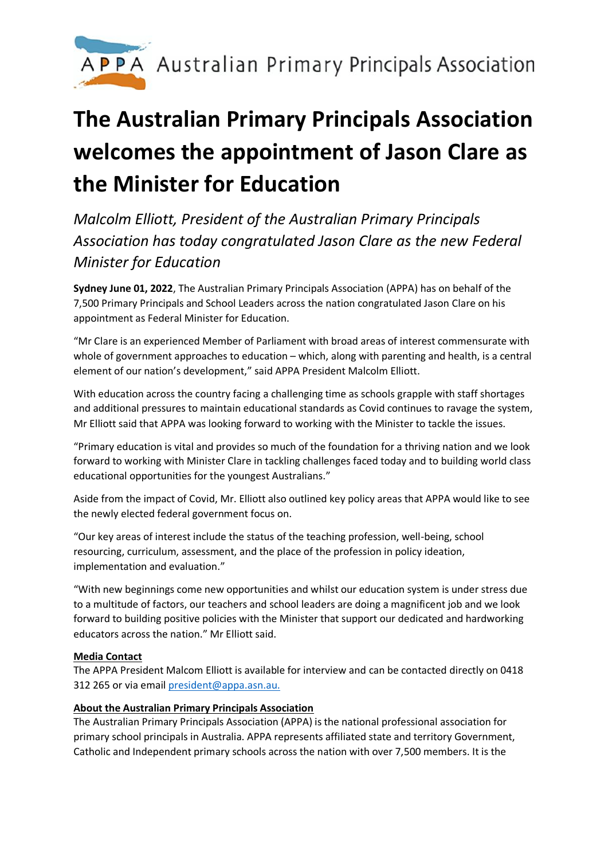

## **The Australian Primary Principals Association welcomes the appointment of Jason Clare as the Minister for Education**

*Malcolm Elliott, President of the Australian Primary Principals Association has today congratulated Jason Clare as the new Federal Minister for Education*

**Sydney June 01, 2022**, The Australian Primary Principals Association (APPA) has on behalf of the 7,500 Primary Principals and School Leaders across the nation congratulated Jason Clare on his appointment as Federal Minister for Education.

"Mr Clare is an experienced Member of Parliament with broad areas of interest commensurate with whole of government approaches to education – which, along with parenting and health, is a central element of our nation's development," said APPA President Malcolm Elliott.

With education across the country facing a challenging time as schools grapple with staff shortages and additional pressures to maintain educational standards as Covid continues to ravage the system, Mr Elliott said that APPA was looking forward to working with the Minister to tackle the issues.

"Primary education is vital and provides so much of the foundation for a thriving nation and we look forward to working with Minister Clare in tackling challenges faced today and to building world class educational opportunities for the youngest Australians."

Aside from the impact of Covid, Mr. Elliott also outlined key policy areas that APPA would like to see the newly elected federal government focus on.

"Our key areas of interest include the status of the teaching profession, well-being, school resourcing, curriculum, assessment, and the place of the profession in policy ideation, implementation and evaluation."

"With new beginnings come new opportunities and whilst our education system is under stress due to a multitude of factors, our teachers and school leaders are doing a magnificent job and we look forward to building positive policies with the Minister that support our dedicated and hardworking educators across the nation." Mr Elliott said.

## **Media Contact**

The APPA President Malcom Elliott is available for interview and can be contacted directly on 0418 312 265 or via email president@appa.asn.au.

## **About the Australian Primary Principals Association**

The Australian Primary Principals Association (APPA) is the national professional association for primary school principals in Australia. APPA represents affiliated state and territory Government, Catholic and Independent primary schools across the nation with over 7,500 members. It is the